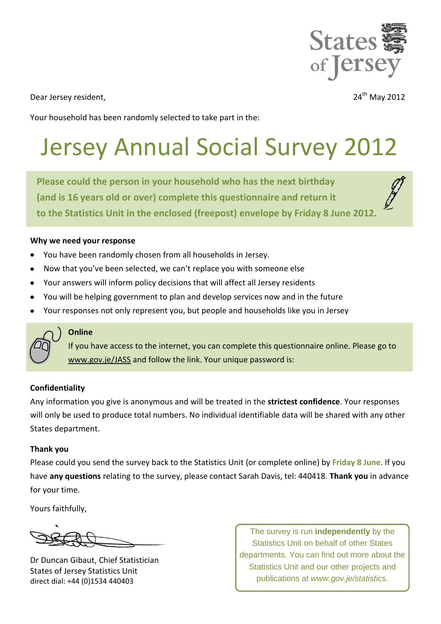

Dear Jersey resident.

24<sup>th</sup> May 2012

Your household has been randomly selected to take part in the:

# Jersey Annual Social Survey 2012

**Please could the person in your household who has the next birthday (and is 16 years old or over) complete this questionnaire and return it to the Statistics Unit in the enclosed (freepost) envelope by Friday 8 June 2012.**

#### **Why we need your response**

- You have been randomly chosen from all households in Jersey.
- Now that you've been selected, we can't replace you with someone else
- Your answers will inform policy decisions that will affect all Jersey residents
- You will be helping government to plan and develop services now and in the future  $\bullet$
- Your responses not only represent you, but people and households like you in Jersey



#### **Online**

If you have access to the internet, you can complete this questionnaire online. Please go to [www.gov.je/JASS](http://www.gov.je/JASS) and follow the link. Your unique password is:

### **Confidentiality**

Any information you give is anonymous and will be treated in the **strictest confidence**. Your responses will only be used to produce total numbers. No individual identifiable data will be shared with any other States department.

#### **Thank you**

Please could you send the survey back to the Statistics Unit (or complete online) by **Friday 8 June**. If you have **any questions** relating to the survey, please contact Sarah Davis, tel: 440418. **Thank you** in advance for your time.

Yours faithfully,

Dr Duncan Gibaut, Chief Statistician States of Jersey Statistics Unit direct dial: +44 (0)1534 440403

The survey is run **independently** by the Statistics Unit on behalf of other States departments. You can find out more about the Statistics Unit and our other projects and publications at *www.gov.je/statistics.*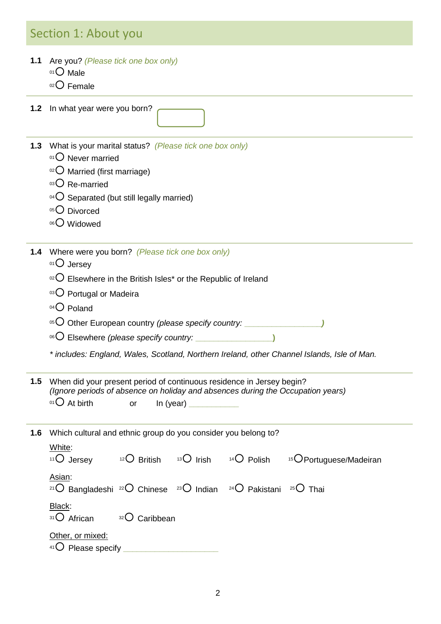### Section 1: About you

- **1.1** Are you? *(Please tick one box only)* 
	- 01<sup>O</sup> Male
	- $02$  Female

**1.2** In what year were you born?

- **1.3** What is your marital status? *(Please tick one box only)*
	- $01$  Never married
	- $02$  Married (first marriage)
	- 03 Re-married
	- $04$  Separated (but still legally married)
	- 05<sup>O</sup> Divorced
	- 06<sup>O</sup> Widowed

**1.4** Where were you born? *(Please tick one box only)*

- 01 Jersey
- $102$  Elsewhere in the British Isles\* or the Republic of Ireland
- 03 Portugal or Madeira
- 04<sup>O</sup> Poland
- <sup>05</sup> Other European country *(please specify country:* **\_\_\_\_\_\_\_\_\_\_\_\_\_\_\_\_\_***)*
- <sup>06</sup> Elsewhere *(please specify country:* **\_\_\_\_\_\_\_\_\_\_\_\_\_\_\_\_\_)**
- *\* includes: England, Wales, Scotland, Northern Ireland, other Channel Islands, Isle of Man.*

| 1.5 When did your present period of continuous residence in Jersey begin? |    |                                                                                 |  |  |  |  |
|---------------------------------------------------------------------------|----|---------------------------------------------------------------------------------|--|--|--|--|
|                                                                           |    | (Ignore periods of absence on holiday and absences during the Occupation years) |  |  |  |  |
| $^{01}$ O At birth                                                        | or | In (year)                                                                       |  |  |  |  |

**1.6** Which cultural and ethnic group do you consider you belong to?

| White:<br>$11$ O Jersey                                                                                                             | $12$ British      | $13\bigcirc$ Irish | $14\bigcirc$ Polish | <sup>15</sup> O Portuguese/Madeiran |
|-------------------------------------------------------------------------------------------------------------------------------------|-------------------|--------------------|---------------------|-------------------------------------|
| Asian:<br><sup>21</sup> O Bangladeshi <sup>22</sup> O Chinese <sup>23</sup> O Indian <sup>24</sup> O Pakistani <sup>25</sup> O Thai |                   |                    |                     |                                     |
| Black:<br>31 O African                                                                                                              | Caribbean<br>32() |                    |                     |                                     |
| Other, or mixed:<br>$41$ Please specify                                                                                             |                   |                    |                     |                                     |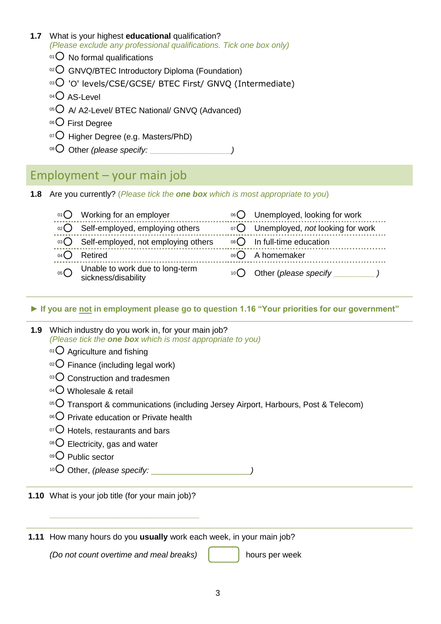#### **1.7** What is your highest **educational** qualification? *(Please exclude any professional qualifications. Tick one box only)*

- $01$  No formal qualifications
- $\alpha$ <sup>o2</sup> GNVQ/BTEC Introductory Diploma (Foundation)
- $\%$  'O' levels/CSE/GCSE/ BTEC First/ GNVQ (Intermediate)
- $04$  AS-Level
- 05 A A2-Level/ BTEC National/ GNVQ (Advanced)
- 06<sup>O</sup> First Degree
- $\overline{07}$  Higher Degree (e.g. Masters/PhD)
- <sup>08</sup> Other *(please specify:* **\_\_\_\_\_\_\_\_\_\_\_\_\_\_\_\_\_\_***)*

### Employment – your main job

**1.8** Are you currently? (*Please tick the one box which is most appropriate to you*)

|                 | $\circ$ Working for an employer                        | 06 O Unemployed, looking for work                      |
|-----------------|--------------------------------------------------------|--------------------------------------------------------|
|                 | 02 Self-employed, employing others                     | 07 Unemployed, not looking for work                    |
|                 | ®3○ Self-employed, not employing others                | $\circ$ <sup>8</sup> $\bigcirc$ In full-time education |
| 04 <sup>l</sup> | Retired                                                | 09 A homemaker                                         |
| $05$ $\bigcup$  | Unable to work due to long-term<br>sickness/disability | $10$ Other (please specify                             |

**► If you are not in employment please go to question 1.16 "Your priorities for our government"**

| 1.9 Which industry do you work in, for your main job?             |  |  |  |  |
|-------------------------------------------------------------------|--|--|--|--|
| (Please tick the <b>one box</b> which is most appropriate to you) |  |  |  |  |

- $01$  Agriculture and fishing
- $\circ$ <sup>2</sup>O Finance (including legal work)
- $03$  Construction and tradesmen
- $04$  Wholesale & retail
- $\overline{05}$  Transport & communications (including Jersey Airport, Harbours, Post & Telecom)
- 06 Private education or Private health
- $\sigma$  Hotels, restaurants and bars
- $08$  Electricity, gas and water
- 09<sup>O</sup> Public sector
- <sup>10</sup> Other, *(please specify:* \_\_\_\_\_\_\_\_\_\_\_\_\_\_\_\_\_\_\_\_\_\_*)*
- **1.10** What is your job title (for your main job)?

**1.11** How many hours do you **usually** work each week, in your main job?

*(Do not count overtime and meal breaks)* | hours per week

**\_\_\_\_\_\_\_\_\_\_\_\_\_\_\_\_\_\_\_\_\_\_\_\_\_\_\_\_\_\_\_\_\_**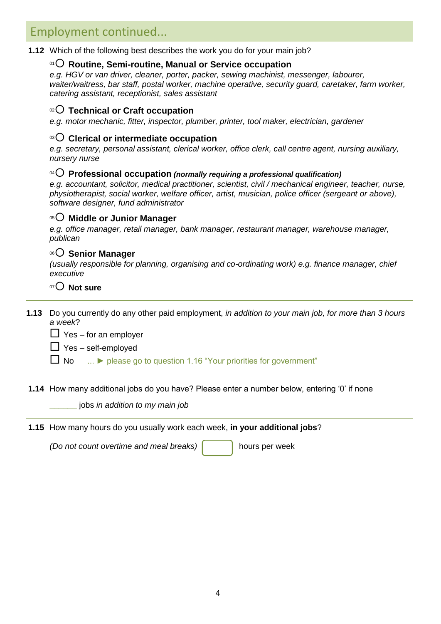### Employment continued...

**1.12** Which of the following best describes the work you do for your main job?

#### <sup>01</sup> **Routine, Semi-routine, Manual or Service occupation**

*e.g. HGV or van driver, cleaner, porter, packer, sewing machinist, messenger, labourer, waiter/waitress, bar staff, postal worker, machine operative, security guard, caretaker, farm worker, catering assistant, receptionist, sales assistant*

### <sup>02</sup> **Technical or Craft occupation**

*e.g. motor mechanic, fitter, inspector, plumber, printer, tool maker, electrician, gardener*

### <sup>03</sup> **Clerical or intermediate occupation**

*e.g. secretary, personal assistant, clerical worker, office clerk, call centre agent, nursing auxiliary, nursery nurse*

### <sup>04</sup> **Professional occupation** *(normally requiring a professional qualification)*

*e.g. accountant, solicitor, medical practitioner, scientist, civil / mechanical engineer, teacher, nurse, physiotherapist, social worker, welfare officer, artist, musician, police officer (sergeant or above), software designer, fund administrator*

#### <sup>05</sup> **Middle or Junior Manager**

*e.g. office manager, retail manager, bank manager, restaurant manager, warehouse manager, publican*

### <sup>06</sup> **Senior Manager**

*(usually responsible for planning, organising and co-ordinating work) e.g. finance manager, chief executive* 

### <sup>07</sup> **Not sure**

**1.13** Do you currently do any other paid employment, *in addition to your main job, for more than 3 hours a week*?

 $\Box$  Yes – for an employer

 $\Box$  Yes – self-employed

No ... **►** please go to question 1.16 "Your priorities for government"

**1.14** How many additional jobs do you have? Please enter a number below, entering "0" if none

**\_\_\_\_\_\_** jobs *in addition to my main job*

**1.15** How many hours do you usually work each week, **in your additional jobs**?

*(Do not count overtime and meal breaks)*  $\begin{bmatrix} 1 & 1 \\ 1 & 1 \end{bmatrix}$  hours per week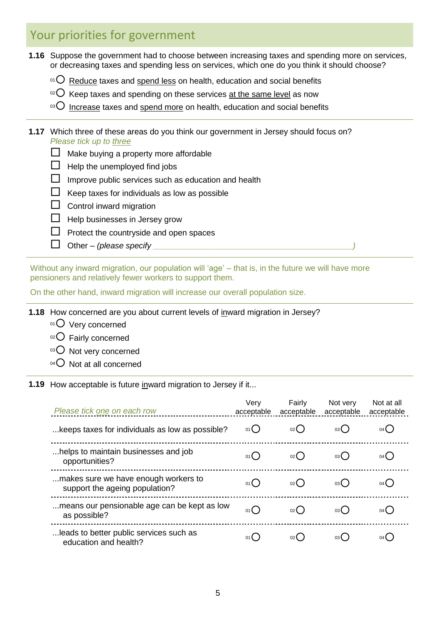### Your priorities for government

- **1.16** Suppose the government had to choose between increasing taxes and spending more on services, or decreasing taxes and spending less on services, which one do you think it should choose?
	- $10^1$  Reduce taxes and spend less on health, education and social benefits
	- $\rm{^{02}O}$  Keep taxes and spending on these services at the same level as now
	- $103$  Increase taxes and spend more on health, education and social benefits

#### **1.17** Which three of these areas do you think our government in Jersey should focus on? *Please tick up to three*

- $\Box$  Make buying a property more affordable
- $\Box$  Help the unemployed find jobs
- $\Box$  Improve public services such as education and health
- $\Box$  Keep taxes for individuals as low as possible
- $\Box$  Control inward migration
- $\Box$  Help businesses in Jersey grow
- $\Box$  Protect the countryside and open spaces
- $\Box$  Other *(please specify*

Without any inward migration, our population will 'age' – that is, in the future we will have more pensioners and relatively fewer workers to support them.

On the other hand, inward migration will increase our overall population size.

**1.18** How concerned are you about current levels of inward migration in Jersey?

- 01 Very concerned
- $02$  Fairly concerned
- 03 O Not very concerned
- $04$  Not at all concerned

**1.19** How acceptable is future inward migration to Jersey if it...

| Please tick one on each row                                            | Very<br>acceptable | Fairly<br>acceptable | Not very<br>acceptable | Not at all<br>acceptable |
|------------------------------------------------------------------------|--------------------|----------------------|------------------------|--------------------------|
| keeps taxes for individuals as low as possible?                        | 01()               | 02(                  | 03 (                   | 04 L                     |
| helps to maintain businesses and job<br>opportunities?                 | 01()               | $02$ (               | 03 (                   | 04(                      |
| makes sure we have enough workers to<br>support the ageing population? | 01()               | $02$ (               | 03 (                   | $04$ $\left($            |
| means our pensionable age can be kept as low<br>as possible?           | 01()               | 02(                  | 03(                    | $04$ $\left($            |
| leads to better public services such as<br>education and health?       | 01 (               | 02 <sub>0</sub>      | 03 (                   |                          |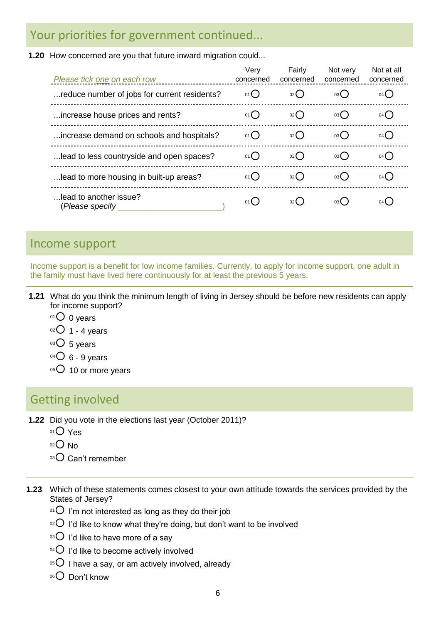### Your priorities for government continued...

**1.20** How concerned are you that future inward migration could...

| Please tick one on each row                  | Very<br>concerned | Fairly<br>concerned | Not very<br>concerned | Not at all<br>concerned |
|----------------------------------------------|-------------------|---------------------|-----------------------|-------------------------|
| reduce number of jobs for current residents? | 01()              | 02(                 | 03()                  | $04$ $\left($           |
| increase house prices and rents?             | 01()              | 02()                | 03()                  | $04$ $\left($           |
| increase demand on schools and hospitals?    | 01()              | $02$ (              | 03(                   | $04$ (                  |
| lead to less countryside and open spaces?    | 01()              | 02()                | 03()                  | $04$ (                  |
| lead to more housing in built-up areas?      | 01()              | $02$ (              | 03(                   | $04$ $\left($           |
| lead to another issue?<br>(Please specify    | 01()              | 02(                 | 03 (                  | 04 L                    |

### Income support

Income support is a benefit for low income families. Currently, to apply for income support, one adult in the family must have lived here continuously for at least the previous 5 years.

- **1.21** What do you think the minimum length of living in Jersey should be before new residents can apply for income support?
	- $01$  0 years
	- $02$  1 4 years
	- $03$  5 years
	- $^{04}$  $O$  6 9 years
	- $05$  10 or more years

### Getting involved

- **1.22** Did you vote in the elections last year (October 2011)?
	- 01<sup>O</sup> Yes
	- $02$  No
	- 03 Can't remember
- **1.23** Which of these statements comes closest to your own attitude towards the services provided by the States of Jersey?
	- $\degree$ <sup>01</sup> I'm not interested as long as they do their job
	- <sup>02</sup> I'd like to know what they're doing, but don't want to be involved
	- $\circ$ <sup>3</sup>O I'd like to have more of a say
	- $04$  I'd like to become actively involved
	- $05$  I have a say, or am actively involved, already
	- 06<sup>O</sup> Don't know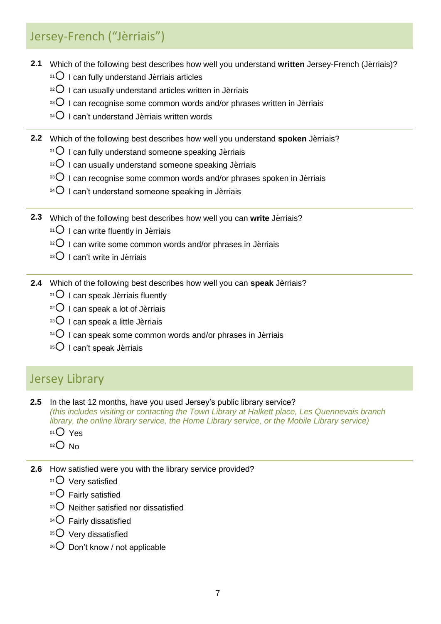# Jersey-French ("Jèrriais")

- **2.1** Which of the following best describes how well you understand **written** Jersey-French (Jèrriais)?
	- $01$  I can fully understand Jèrriais articles
	- $10^{20}$  I can usually understand articles written in Jèrriais
	- $103$  I can recognise some common words and/or phrases written in Jèrriais
	- $^{04}$  I can't understand Jèrriais written words

**2.2** Which of the following best describes how well you understand **spoken** Jèrriais?

- $01$  I can fully understand someone speaking Jèrriais
- $10^{2}$  I can usually understand someone speaking Jèrriais
- $10^{35}$  I can recognise some common words and/or phrases spoken in Jèrriais
- $04$  I can't understand someone speaking in Jèrriais
- **2.3** Which of the following best describes how well you can **write** Jèrriais?
	- $01$  I can write fluently in Jèrriais
	- $10^{2}$  I can write some common words and/or phrases in Jèrriais
	- $03$  I can't write in Jèrriais
- **2.4** Which of the following best describes how well you can **speak** Jèrriais?
	- $01$  I can speak Jèrriais fluently
	- $02$  I can speak a lot of Jèrriais
	- $03$  I can speak a little Jèrriais
	- $104$  I can speak some common words and/or phrases in Jèrriais
	- 05 I can't speak Jèrriais

# Jersey Library

**2.5** In the last 12 months, have you used Jersey"s public library service?

*(this includes visiting or contacting the Town Library at Halkett place, Les Quennevais branch library, the online library service, the Home Library service, or the Mobile Library service)*

- $01$  Yes
- $02$  No
- **2.6** How satisfied were you with the library service provided?
	- 01 Very satisfied
	- $02$  Fairly satisfied
	- $03$  Neither satisfied nor dissatisfied
	- $04$  Fairly dissatisfied
	- $05$  Very dissatisfied
	- $06$  Don't know / not applicable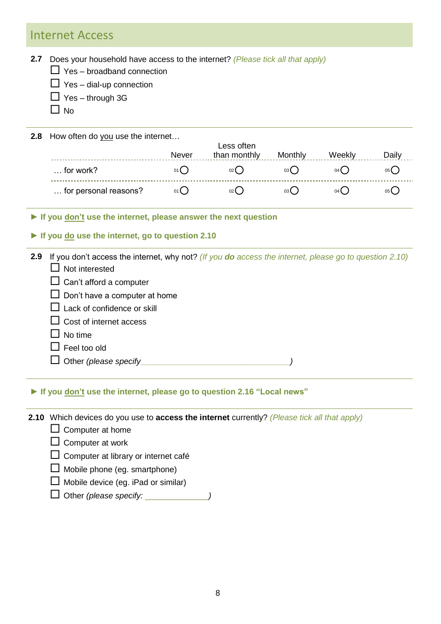### Internet Access

**2.7** Does your household have access to the internet? *(Please tick all that apply)*

- $\Box$  Yes broadband connection
- $\Box$  Yes dial-up connection
- $\Box$  Yes through 3G
- $\Box$  No

**2.8** How often do you use the internet…

|                       | Never | Less often<br>than monthly | Monthly         | Week            | Daily |
|-----------------------|-------|----------------------------|-----------------|-----------------|-------|
| $\ldots$ for work?    | 01 L  | $02$ (                     | 03 L            | $04$ (          | 05 C  |
| for personal reasons? | 01()  | 02 <sup>l</sup>            | 03 <sup>l</sup> | 04 <sup>l</sup> |       |

**► If you don't use the internet, please answer the next question**

#### **► If you do use the internet, go to question 2.10**

**2.9** If you don"t access the internet, why not? *(If you do access the internet, please go to question 2.10)*

- $\Box$  Not interested
- $\Box$  Can't afford a computer
- $\Box$  Don't have a computer at home
- $\Box$  Lack of confidence or skill
- $\Box$  Cost of internet access
- $\Box$  No time
- $\Box$  Feel too old
- Other *(please specify***\_\_\_\_\_\_\_\_\_\_\_\_\_\_\_\_\_\_\_\_\_\_\_\_\_\_\_\_\_\_\_\_\_***)*

### **► If you don't use the internet, please go to question 2.16 "Local news"**

**2.10** Which devices do you use to **access the internet** currently? *(Please tick all that apply)*

- $\Box$  Computer at home
- $\Box$  Computer at work
- $\Box$  Computer at library or internet café
- $\Box$  Mobile phone (eg. smartphone)
- $\Box$  Mobile device (eg. iPad or similar)
- Other *(please specify:* \_\_\_\_\_\_\_\_\_\_\_\_\_\_*)*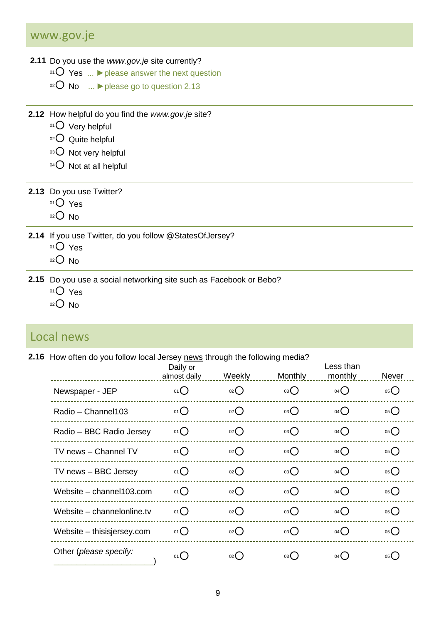### www.gov.je

#### **2.11** Do you use the *[www.gov.je](http://www.gov.je/)* site currently?

- <sup>01</sup> Yes ... **►**please answer the next question
- <sup>02</sup> No ... **►**please go to question 2.13
- **2.12** How helpful do you find the *[www.gov.je](http://www.gov.je/)* site?
	- 01 Very helpful
	- 02 Quite helpful
	- 03 O Not very helpful
	- $04$  Not at all helpful

### **2.13** Do you use Twitter?

- $01O$  Yes
- $02$  No
- **2.14** If you use Twitter, do you follow @StatesOfJersey?
	- $01$  Yes
	- $02$  No
- **2.15** Do you use a social networking site such as Facebook or Bebo?
	- $01O$  Yes
	- $02$  No

### Local news

### **2.16** How often do you follow local Jersey news through the following media?

|                            | Daily or<br>almost daily | Weekly             | <b>Monthly</b> | Less than<br>monthly | Never             |
|----------------------------|--------------------------|--------------------|----------------|----------------------|-------------------|
| Newspaper - JEP            | $01$ $\bigcirc$          | O(2C)              | 03             | $04$ <sup>O</sup>    | 05                |
| Radio - Channel103         | $01$ $\bigcirc$          | O(2C)              | 03             | $04$ $\bigcirc$      | $05$ <sup>O</sup> |
| Radio - BBC Radio Jersey   | $01$ $\bigcirc$          | 02                 | 03()           | 04()                 | $05$ <sup>O</sup> |
| TV news - Channel TV       | 01                       | O(2C)              | 03()           | $04$ <sup>O</sup>    | 05                |
| TV news - BBC Jersey       | $01$ $\bigcirc$          | O(2C)              | 03             | $04$ <sup>O</sup>    | $05$ <sup>O</sup> |
| Website - channel103.com   | $01$ $\bigcirc$          | $_{02}$ $\bigcirc$ | 03()           | $04$ <sup>O</sup>    | $05$ <sup>O</sup> |
| Website - channelonline.tv | 01                       | O(2C)              | 03()           | $04$ <sup>O</sup>    | $05$ <sup>O</sup> |
| Website - thisisjersey.com | $01$ $\bigcirc$          | O(2C)              | 03             | $04$ $\bigcirc$      | 05                |
| Other (please specify:     | 01()                     | $_{02}$ $\bigcirc$ | 03()           | 04()                 | 05                |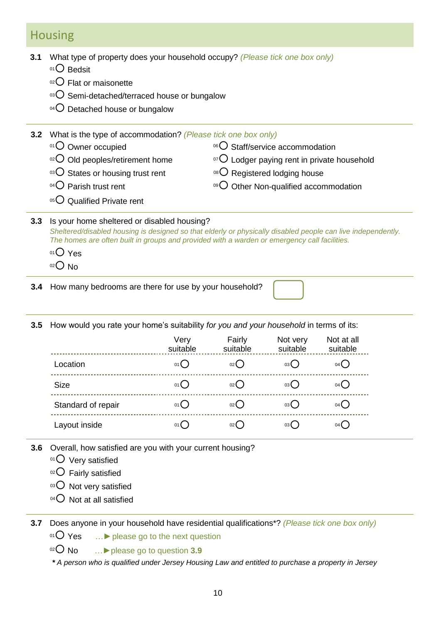### Housing

**3.1** What type of property does your household occupy? *(Please tick one box only)*

- 01<sup>O</sup> Bedsit
- 02 **C** Flat or maisonette
- 03 O Semi-detached/terraced house or bungalow
- $04$  Detached house or bungalow

| 3.2 | What is the type of accommodation? (Please tick one box only)<br>$01$ Owner occupied<br>02 Old peoples/retirement home<br><sup>03</sup> O States or housing trust rent<br><sup>04</sup> $\bigcirc$ Parish trust rent<br>05 Qualified Private rent                         | <sup>06</sup> O Staff/service accommodation<br>$\rm{O}$ Lodger paying rent in private household<br><sup>08</sup> O Registered lodging house<br><sup>09</sup> O Other Non-qualified accommodation |  |  |  |  |
|-----|---------------------------------------------------------------------------------------------------------------------------------------------------------------------------------------------------------------------------------------------------------------------------|--------------------------------------------------------------------------------------------------------------------------------------------------------------------------------------------------|--|--|--|--|
| 3.3 | Is your home sheltered or disabled housing?<br>Sheltered/disabled housing is designed so that elderly or physically disabled people can live independently.<br>The homes are often built in groups and provided with a warden or emergency call facilities.<br>$01()$ Yes |                                                                                                                                                                                                  |  |  |  |  |

- **3.4** How many bedrooms are there for use by your household?
- **3.5** How would you rate your home's suitability *for you and your household* in terms of its:

|                    | Very<br>suitable | Fairly<br>suitable | Not very<br>suitable | Not at all<br>suitable |
|--------------------|------------------|--------------------|----------------------|------------------------|
| Location           | 01()             | 02(                | 03 (                 | $04$ $\left($          |
| <b>Size</b>        | 01()             | 02(                | 03 (                 | 04(                    |
| Standard of repair | 01()             | 02(                | 03(                  | $04$ (                 |
| Layout inside      | 01(              | $02$ (             | 03 (                 | $04$ (                 |

- **3.6** Overall, how satisfied are you with your current housing?
	- 01 Very satisfied
	- 02 Fairly satisfied
	- 03 O Not very satisfied
	- $04$  Not at all satisfied

**3.7** Does anyone in your household have residential qualifications\*? *(Please tick one box only)*

<sup>01</sup> Yes …**►**please go to the next question

<sup>02</sup> No …**►**please go to question **3.9**

*\* A person who is qualified under Jersey Housing Law and entitled to purchase a property in Jersey*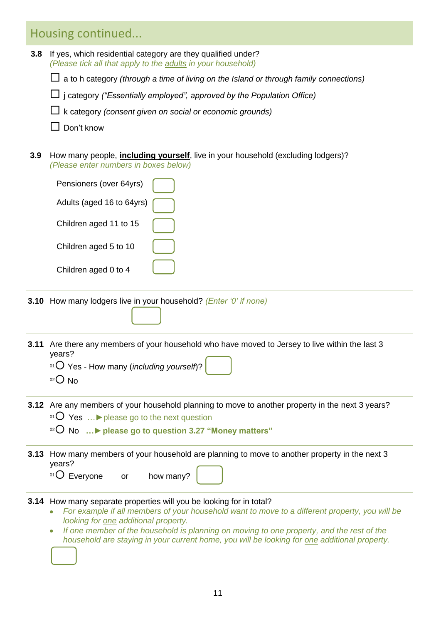# Housing continued...

| 3.8  | If yes, which residential category are they qualified under?<br>(Please tick all that apply to the adults in your household)                                                                                            |  |  |  |  |  |
|------|-------------------------------------------------------------------------------------------------------------------------------------------------------------------------------------------------------------------------|--|--|--|--|--|
|      | a to h category (through a time of living on the Island or through family connections)                                                                                                                                  |  |  |  |  |  |
|      | $\Box$ j category ("Essentially employed", approved by the Population Office)                                                                                                                                           |  |  |  |  |  |
|      | k category (consent given on social or economic grounds)                                                                                                                                                                |  |  |  |  |  |
|      | Don't know                                                                                                                                                                                                              |  |  |  |  |  |
| 3.9  | How many people, <i>including yourself</i> , live in your household (excluding lodgers)?                                                                                                                                |  |  |  |  |  |
|      | (Please enter numbers in boxes below)                                                                                                                                                                                   |  |  |  |  |  |
|      | Pensioners (over 64yrs)                                                                                                                                                                                                 |  |  |  |  |  |
|      | Adults (aged 16 to 64yrs)                                                                                                                                                                                               |  |  |  |  |  |
|      | Children aged 11 to 15                                                                                                                                                                                                  |  |  |  |  |  |
|      | Children aged 5 to 10                                                                                                                                                                                                   |  |  |  |  |  |
|      |                                                                                                                                                                                                                         |  |  |  |  |  |
|      | Children aged 0 to 4                                                                                                                                                                                                    |  |  |  |  |  |
|      | <b>3.10</b> How many lodgers live in your household? (Enter '0' if none)                                                                                                                                                |  |  |  |  |  |
|      |                                                                                                                                                                                                                         |  |  |  |  |  |
| 3.11 | Are there any members of your household who have moved to Jersey to live within the last 3<br>years?                                                                                                                    |  |  |  |  |  |
|      | <sup>01</sup> $\overline{O}$ Yes - How many ( <i>including yourself</i> )?                                                                                                                                              |  |  |  |  |  |
|      | $O02$ No                                                                                                                                                                                                                |  |  |  |  |  |
|      | 3.12 Are any members of your household planning to move to another property in the next 3 years?<br>$^{01}$ O Yes  I please go to the next question<br><sup>02</sup> O No  ► please go to question 3.27 "Money matters" |  |  |  |  |  |
| 3.13 | How many members of your household are planning to move to another property in the next 3<br>years?<br>$^{01}$ O Everyone or how many?                                                                                  |  |  |  |  |  |
|      | 3.14 How many separate properties will you be looking for in total?<br>For example if all members of your household want to move to a different property, you will be                                                   |  |  |  |  |  |

- *looking for one additional property.*
- *If one member of the household is planning on moving to one property, and the rest of the*   $\bullet$ *household are staying in your current home, you will be looking for one additional property.*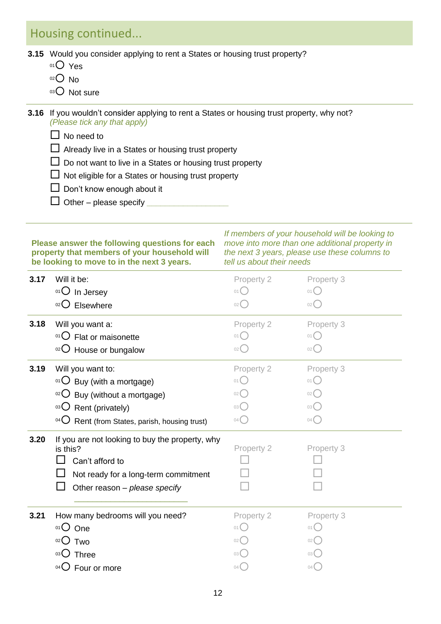### Housing continued...

**3.15** Would you consider applying to rent a States or housing trust property?

- 01<sup>O</sup> Yes
- $02$  No
- 03 Not sure
- **3.16** If you wouldn't consider applying to rent a States or housing trust property, why not? *(Please tick any that apply)*
	- $\Box$  No need to
	- $\Box$  Already live in a States or housing trust property
	- $\square$  Do not want to live in a States or housing trust property
	- $\Box$  Not eligible for a States or housing trust property
	- $\square$  Don't know enough about it
	- $\Box$  Other please specify  $\Box$

#### **Please answer the following questions for each property that members of your household will be looking to move to in the next 3 years.**

*If members of your household will be looking to move into more than one additional property in the next 3 years, please use these columns to tell us about their needs*

| 3.17 | Will it be:<br>$01$ In Jersey                     | Property 2<br>01(                   | Property 3<br>01()                        |
|------|---------------------------------------------------|-------------------------------------|-------------------------------------------|
|      | 02()<br>Elsewhere                                 | 02                                  | 02                                        |
| 3.18 | Will you want a:                                  | Property 2                          | Property 3                                |
|      | $^{01}$ O Flat or maisonette                      | $01$ $\bigcap$                      | $01$ $\bigcap$                            |
|      | 02 House or bungalow                              | $02$ $\left($                       | $02$ <sup><math>\left(</math></sup>       |
| 3.19 | Will you want to:                                 | Property 2                          | Property 3                                |
|      | $01$ Buy (with a mortgage)                        | 01()                                | 01()                                      |
|      | 02<br>Buy (without a mortgage)                    | $02$ $\left($                       | $02$ <sup><math>\left(</math></sup>       |
|      | 03 Rent (privately)                               | 03(                                 | $03$ <sup><math>\bigcirc</math></sup>     |
|      | $^{04}$ Rent (from States, parish, housing trust) | $04$ <sup><math>\left(</math></sup> | $04$ <sup><math>\binom{1}{2}</math></sup> |
| 3.20 | If you are not looking to buy the property, why   |                                     |                                           |
|      | is this?                                          | Property 2                          | Property 3                                |
|      | Can't afford to                                   |                                     |                                           |
|      | Not ready for a long-term commitment              |                                     |                                           |
|      | Other reason - please specify                     |                                     |                                           |
| 3.21 | How many bedrooms will you need?                  | Property 2                          | Property 3                                |
|      | 01 One                                            | 01()                                | 01()                                      |
|      | $02$ Two                                          | $02$ (                              | 02(                                       |
|      | 03 Three                                          | 03 <sup>°</sup>                     | 03(                                       |
|      | <sup>04</sup> $\bigcirc$ Four or more             | 04<                                 | $04$ $\bigodot$                           |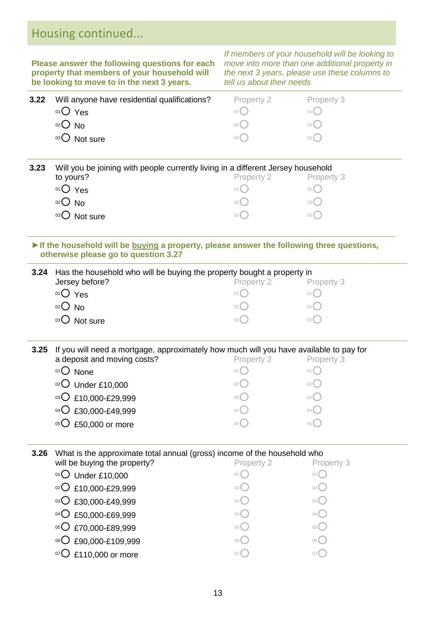| Housing continued |         |
|-------------------|---------|
|                   | If memb |

**Please answer the following questions for each property that members of your household will be looking to move to in the next 3 years.** 

*If members of your household will be looking to move into more than one additional property in the next 3 years, please use these columns to tell us about their needs*

| Will anyone have residential qualifications?<br>$01O$ Yes<br>$O02$ No | Property 2<br>01(<br>$02$ ( | Property 3<br>01()<br>02() |  |
|-----------------------------------------------------------------------|-----------------------------|----------------------------|--|
| <sup>03</sup> O Not sure                                              | 03(                         | 03()                       |  |
|                                                                       |                             |                            |  |

| 3.23 | Will you be joining with people currently living in a different Jersey household |                 |      |  |  |  |
|------|----------------------------------------------------------------------------------|-----------------|------|--|--|--|
|      | to yours?                                                                        | Property 3      |      |  |  |  |
|      | $01()$ Yes                                                                       | 01              | 01(  |  |  |  |
|      | $O2$ No                                                                          | 02 <sup>°</sup> | 02() |  |  |  |
|      | Not sure                                                                         | 03 (            | 03 ( |  |  |  |

#### **►If the household will be buying a property, please answer the following three questions, otherwise please go to question 3.27**

| 3.24 Has the household who will be buying the property bought a property in |            |                 |  |  |  |
|-----------------------------------------------------------------------------|------------|-----------------|--|--|--|
| Jersey before?                                                              | Property 2 | Property 3      |  |  |  |
| <sup>01</sup> $O$ Yes                                                       | 01         | 01              |  |  |  |
| $02$ No                                                                     | 02(        | 02 <sup>°</sup> |  |  |  |
| Not sure<br>03()                                                            | 03 (       | 03 (            |  |  |  |

**3.25** If you will need a mortgage, approximately how much will you have available to pay for a deposit and moving costs?<br>
Property 2 Property 3 <sup>01</sup> None <sup>01</sup> <sup>01</sup> <sup>02</sup> Under £10,000 <sup>02</sup> <sup>02</sup>  $^{03}$ O £10,000-£29,999  $^{03}$ O  $^{03}$ O  $^{04}$ O £30,000-£49,999  $^{04}$ 

| $05$ £50,000 or more |  | 05 $\bigcup$ |
|----------------------|--|--------------|
|----------------------|--|--------------|

### **3.26** What is the approximate total annual (gross) income of the household who

| will be buying the property? | Property 2      | Property 3 |
|------------------------------|-----------------|------------|
| $01$ Under £10,000           | 01 (            |            |
| 02 C £10,000-£29,999         | 02 (            |            |
| 03 C £30,000-£49,999         | 03(             | 03 (       |
| 04 C £50,000-£69,999         | 04              | 04         |
| 05 C £70,000-£89,999         | 05 <sup>°</sup> | ∪5 『       |
| 06 C £90,000-£109,999        | 06 (            | 06 (       |
| $\bigcirc$ £110,000 or more  | 07              |            |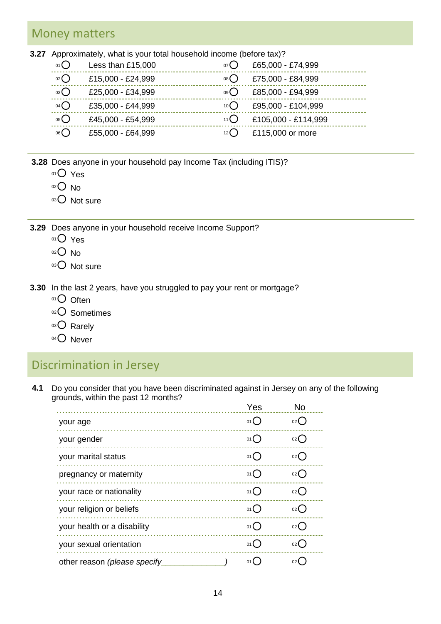### Money matters

**3.27** Approximately, what is your total household income (before tax)?

| . .<br>01()       | Less than £15,000 | 07()  | £65,000 - £74,999   |
|-------------------|-------------------|-------|---------------------|
| $02$ $\bigcirc$   | £15,000 - £24,999 | 08()  | £75,000 - £84,999   |
| 03                | £25,000 - £34,999 | 09()  | £85,000 - £94,999   |
| $04$ $\bigcirc$   | £35,000 - £44,999 | 10()  | £95,000 - £104,999  |
| $05$ <sup>O</sup> | £45,000 - £54,999 | 11()  | £105,000 - £114,999 |
| 06()              | £55,000 - £64,999 | 12 (J | £115,000 or more    |

- **3.28** Does anyone in your household pay Income Tax (including ITIS)?
	- 01<sup>O</sup> Yes
	- $02$  No
	- 03 Not sure

**3.29** Does anyone in your household receive Income Support?

- $01O$  Yes
- $02$  No
- 03 Not sure
- **3.30** In the last 2 years, have you struggled to pay your rent or mortgage?
	- $01$  Often
	- 02<sup>O</sup> Sometimes
	- 03 Rarely
	- $04$  Never

# Discrimination in Jersey

**4.1** Do you consider that you have been discriminated against in Jersey on any of the following grounds, within the past 12 months?

|                              | Yes                               | No                |
|------------------------------|-----------------------------------|-------------------|
| your age                     | 01()                              | $_{02}$ $\bigcap$ |
| your gender                  | $_{01}$ $\bigcap$                 | $_{02}$ $\bigcap$ |
| your marital status          | 01()                              | $_{02}$ $\bigcap$ |
| pregnancy or maternity       | 01()                              | $_{02}$ ()        |
| your race or nationality     | 01()                              | $_{02}$ $\bigcap$ |
| your religion or beliefs     | 01()                              | 02()              |
| your health or a disability  | 01()                              | 02()              |
| your sexual orientation      | 01()                              | 02()              |
| other reason (please specify | $01$ <sup><math>\sim</math></sup> | $02$ (            |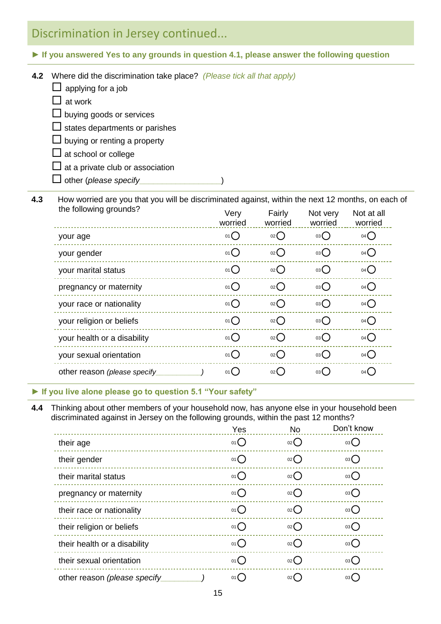# Discrimination in Jersey continued...

- **► If you answered Yes to any grounds in question 4.1, please answer the following question**
- **4.2** Where did the discrimination take place? *(Please tick all that apply)*  $\Box$  applying for a job  $\Box$  at work  $\square$  buying goods or services  $\square$  states departments or parishes  $\square$  buying or renting a property  $\square$  at school or college

 $\square$  at a private club or association

other (*please specify***\_\_\_\_\_\_\_\_\_\_\_\_\_\_\_\_\_\_**)

**4.3** How worried are you that you will be discriminated against, within the next 12 months, on each of  $the following$  must be following arounds?

| <b>UIC IVIIVWIIIY YIVUIIUS!</b> | Very<br>worried | Fairly<br>worried | Not very<br>worried | Not at all<br>worried |  |
|---------------------------------|-----------------|-------------------|---------------------|-----------------------|--|
| your age                        | 01()            | 02                | 03()                | $04$ $\bigcirc$       |  |
| your gender                     | 01()            | 02                | 03                  | $04$ <sup>O</sup>     |  |
| your marital status             | 01              | $02$ $\bigcirc$   | 03()                | $04$ <sup>O</sup>     |  |
| pregnancy or maternity          | 01()            | $02$ $\bigcirc$   | 03                  | $04$ $\bigcirc$       |  |
| your race or nationality        | 01              | $_{02}$ $O$       | 03()                | $04$ <sup>O</sup>     |  |
| your religion or beliefs        | 01()            | 02                | 03()                | 04()                  |  |
| your health or a disability     | 01()            | 02                | 03                  | $04$ <sup>O</sup>     |  |
| your sexual orientation         | 01()            | 02()              | 03()                | $04$ $\bigcirc$       |  |
| other reason (please specify    | 01()            | 02                | $03\bigcap$         | 04()                  |  |
|                                 |                 |                   |                     |                       |  |

#### **► If you live alone please go to question 5.1 "Your safety"**

**4.4** Thinking about other members of your household now, has anyone else in your household been discriminated against in Jersey on the following grounds, within the past 12 months?

|                              | Yes  | <b>No</b>          | Don't know |
|------------------------------|------|--------------------|------------|
| their age                    | 01() | 02                 | 03()       |
| their gender                 | 01() | $_{02}()$          | 03()       |
| their marital status         | 01() | 02()               | 03()       |
| pregnancy or maternity       | 01() | 02()               | 03()       |
| their race or nationality    | 01() | 02()               | 03         |
| their religion or beliefs    | 01() | $_{02}$ $\bigcirc$ | 03()       |
| their health or a disability | 01() | $_{02}()$          | 03()       |
| their sexual orientation     | 01() | 02()               | 03()       |
| other reason (please specify | 01() | 02(                | 03(        |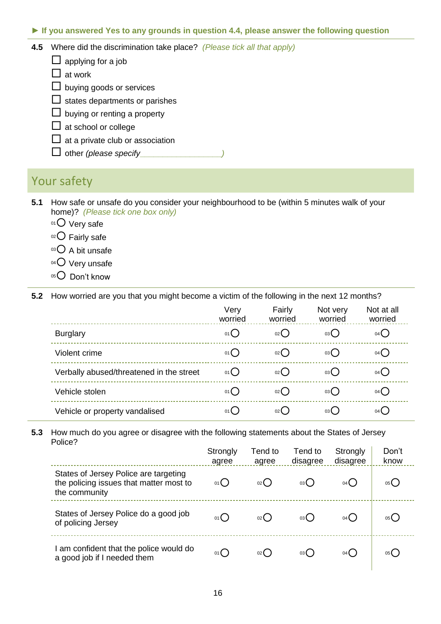► **If you answered Yes to any grounds in question 4.4, please answer the following question**

- **4.5** Where did the discrimination take place? *(Please tick all that apply)*
	- $\Box$  applying for a job
	- $\Box$  at work
	- $\Box$  buying goods or services
	- $\Box$  states departments or parishes
	- $\square$  buying or renting a property
	- $\Box$  at school or college
	- $\Box$  at a private club or association
	- $\Box$  other *(please specify*

### Your safety

- **5.1** How safe or unsafe do you consider your neighbourhood to be (within 5 minutes walk of your home)? *(Please tick one box only)*
	- $01$  Very safe
	- $02$  Fairly safe
	- $03$  A bit unsafe
	- 04 Very unsafe
	- $05$  Don't know

**5.2** How worried are you that you might become a victim of the following in the next 12 months?

|                                          | Very<br>worried | Fairly<br>worried | Not very<br>worried | Not at all<br>worried |
|------------------------------------------|-----------------|-------------------|---------------------|-----------------------|
| <b>Burglary</b>                          | 01()            | 02()              | 03()                | 04()                  |
| Violent crime                            | 01()            | 02()              | 03()                | 04()                  |
| Verbally abused/threatened in the street | $01$ $\bigcirc$ | $_{02}$ ()        | 03()                | 04()                  |
| Vehicle stolen                           | 01()            | 02()              | 03()                | 04()                  |
| Vehicle or property vandalised           | 01()            | 02()              | 03()                | $04$ $\left($         |

#### **5.3** How much do you agree or disagree with the following statements about the States of Jersey Police?

|                                                                                                   | Strongly<br>agree | Tend to<br>agree    | Tend to<br>disagree | Strongly<br>disagree | Don't<br>know |
|---------------------------------------------------------------------------------------------------|-------------------|---------------------|---------------------|----------------------|---------------|
| States of Jersey Police are targeting<br>the policing issues that matter most to<br>the community | 01()              | $02$ $\binom{1}{2}$ | 03()                | 04()                 | 05(           |
| States of Jersey Police do a good job<br>of policing Jersey                                       | 01()              | $02$ $\binom{1}{2}$ | 03(                 | 04()                 | 05 (          |
| am confident that the police would do<br>a good job if I needed them                              | 01()              | 02(                 | 03(                 | $04$ $\left($        | 05 (          |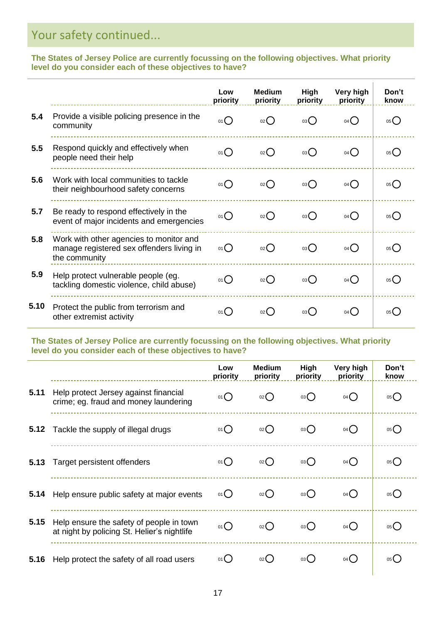# Your safety continued...

**The States of Jersey Police are currently focussing on the following objectives. What priority level do you consider each of these objectives to have?**

|      |                                                                                                       | Low<br>priority | <b>Medium</b><br>priority | High<br>priority | Very high<br>priority | Don't<br>know   |
|------|-------------------------------------------------------------------------------------------------------|-----------------|---------------------------|------------------|-----------------------|-----------------|
| 5.4  | Provide a visible policing presence in the<br>community                                               | 01()            | $_{02}( )$                | 03()             | 04()                  | 05(             |
| 5.5  | Respond quickly and effectively when<br>people need their help                                        | 01()            | $_{02}$ ()                | 03()             | 04()                  | 05()            |
| 5.6  | Work with local communities to tackle<br>their neighbourhood safety concerns                          | 01()            | $_{02}()$                 | 03()             | 04()                  | 05()            |
| 5.7  | Be ready to respond effectively in the<br>event of major incidents and emergencies                    | 01()            | $_{02}$ ()                | 03()             | 04()                  | 05(             |
| 5.8  | Work with other agencies to monitor and<br>manage registered sex offenders living in<br>the community | 01()            | 02                        | 03()             | 04()                  | 05(             |
| 5.9  | Help protect vulnerable people (eg.<br>tackling domestic violence, child abuse)                       | 01()            | $_{02}()$                 | 03()             | 04()                  | 05(             |
| 5.10 | Protect the public from terrorism and<br>other extremist activity                                     | 01()            | $_{02}( )$                | 03( )            | $04$ $\binom{1}{2}$   | 05 <sup>°</sup> |

**The States of Jersey Police are currently focussing on the following objectives. What priority level do you consider each of these objectives to have?**

|      |                                                                                         | Low<br>priority | <b>Medium</b><br>priority | High<br>priority | Very high<br>priority | Don't<br>know |
|------|-----------------------------------------------------------------------------------------|-----------------|---------------------------|------------------|-----------------------|---------------|
| 5.11 | Help protect Jersey against financial<br>crime; eg. fraud and money laundering          | $01$ $\bigcirc$ | $_{02}()$                 | 03()             | 04()                  | 05()          |
| 5.12 | Tackle the supply of illegal drugs                                                      | 01()            | 02()                      | 03()             | 04()                  | 05()          |
| 5.13 | Target persistent offenders                                                             | 01()            | 02                        | 03()             | 04()                  | 05()          |
| 5.14 | Help ensure public safety at major events                                               | 01()            | $_{02}()$                 | 03()             | 04()                  | 05()          |
| 5.15 | Help ensure the safety of people in town<br>at night by policing St. Helier's nightlife | $01$ $\bigcirc$ | $_{02}$ ()                | 03()             | 04()                  | 05()          |
| 5.16 | Help protect the safety of all road users                                               | 01()            | 02()                      | 03()             | 04()                  | 05()          |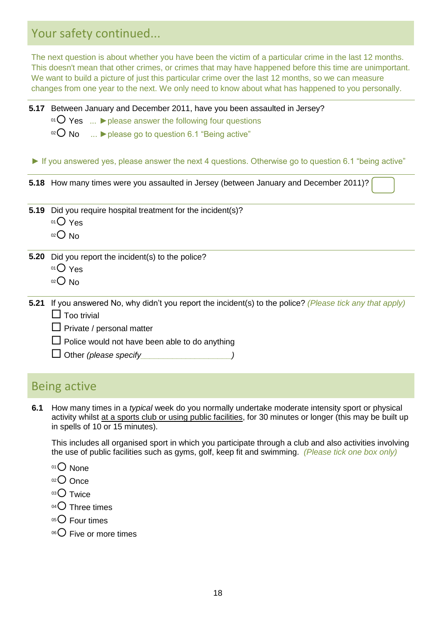# Your safety continued...

The next question is about whether you have been the victim of a particular crime in the last 12 months. This doesn't mean that other crimes, or crimes that may have happened before this time are unimportant. We want to build a picture of just this particular crime over the last 12 months, so we can measure changes from one year to the next. We only need to know about what has happened to you personally.

#### **5.17** Between January and December 2011, have you been assaulted in Jersey?

- <sup>01</sup> Yes ... **►**please answer the following four questions
- <sup>02</sup> No ... ► please go to question 6.1 "Being active"

► If you answered yes, please answer the next 4 questions. Otherwise go to question 6.1 "being active"

- **5.18** How many times were you assaulted in Jersey (between January and December 2011)?
- **5.19** Did you require hospital treatment for the incident(s)?
	- $01$  Yes
	- $02$  No
- **5.20** Did you report the incident(s) to the police?
	- $01$  Yes
	- $02$  No
- **5.21** If you answered No, why didn"t you report the incident(s) to the police? *(Please tick any that apply)*  $\Box$  Too trivial
	- $\square$  Private / personal matter
	- $\square$  Police would not have been able to do anything
	- Other *(please specify\_\_\_\_\_\_\_\_\_\_\_\_\_\_\_\_\_\_\_\_)*

### Being active

**6.1** How many times in a *typical* week do you normally undertake moderate intensity sport or physical activity whilst at a sports club or using public facilities, for 30 minutes or longer (this may be built up in spells of 10 or 15 minutes).

This includes all organised sport in which you participate through a club and also activities involving the use of public facilities such as gyms, golf, keep fit and swimming. *(Please tick one box only)*

- 01<sup>O</sup> None
- 02 Once
- $03$  Twice
- 04<sup>O</sup> Three times
- $05$  Four times
- 06 Five or more times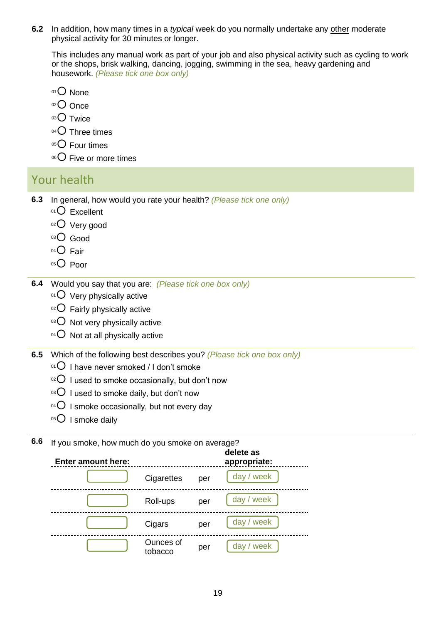**6.2 4.2** In addition, how many times in a *typical* week do you normally undertake any other moderate physical activity for 30 minutes or longer.

**4.4** This includes any manual work as part of your job and also physical activity such as cycling to work or the shops, brisk walking, dancing, jogging, swimming in the sea, heavy gardening and housework. *(Please tick one box only)*

- $01$  None
- $02$  Once
- $03$  Twice
- $04$  Three times
- $05$  Four times
- **4.6** <sup>06</sup> Five or more times

### Your health

- **6.3** In general, how would you rate your health? *(Please tick one only)*
	- $01$  Excellent
	- 02 Very good
	- 03 Good
	- $04$  Fair
	- $05$  Poor
- **6.4 4.7 4.8** Would you say that you are: *(Please tick one box only)*
	- $01$  Very physically active
	- $02$  Fairly physically active
	- $03$  Not very physically active
	- $04$  Not at all physically active

**6.5** Which of the following best describes you? *(Please tick one box only)*

- $01$  I have never smoked / I don't smoke
- $\circ$ <sup>2</sup>O I used to smoke occasionally, but don't now
- $03$  I used to smoke daily, but don't now
- $04$  I smoke occasionally, but not every day
- $05$  I smoke daily

**6.6** If you smoke, how much do you smoke on average?

| <b>Enter amount here:</b> |                      |     | delete as<br>appropriate: |
|---------------------------|----------------------|-----|---------------------------|
|                           | Cigarettes           | per | day / week                |
|                           | Roll-ups             | per | day / week                |
|                           | Cigars               | per | day / week                |
|                           | Ounces of<br>tobacco | per | week<br>day               |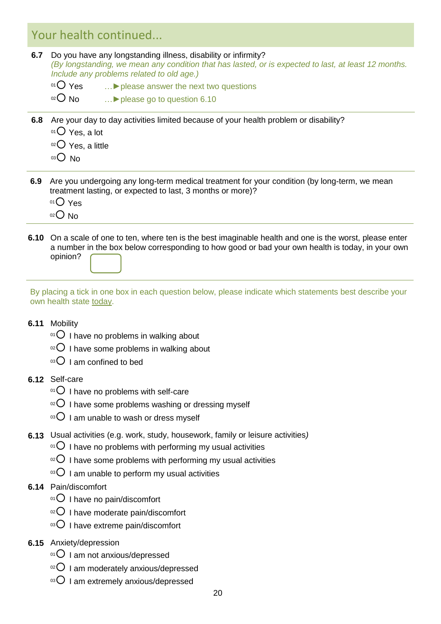# Your health continued...

- **6.7** Do you have any longstanding illness, disability or infirmity? *(By longstanding, we mean any condition that has lasted, or is expected to last, at least 12 months. Include any problems related to old age.)*
	- <sup>01</sup> Yes …**►**please answer the next two questions
	- <sup>02</sup> No …**►**please go to question 6.10
- **6.8** Are your day to day activities limited because of your health problem or disability?
	- $01$  Yes, a lot
	- $02$  Yes, a little
	- $03$  No
- **6.9** Are you undergoing any long-term medical treatment for your condition (by long-term, we mean treatment lasting, or expected to last, 3 months or more)?
	- $01$  Yes
	- $02$  No
- **6.10** On a scale of one to ten, where ten is the best imaginable health and one is the worst, please enter a number in the box below corresponding to how good or bad your own health is today, in your own opinion?
- By placing a tick in one box in each question below, please indicate which statements best describe your own health state today.

#### **6.11** Mobility

- $01$  I have no problems in walking about
- $10^{2}$  I have some problems in walking about
- $03$  I am confined to bed
- **6.12** Self-care
	- $01$  I have no problems with self-care
	- $10^{2}$  I have some problems washing or dressing myself
	- $03$  I am unable to wash or dress myself
- **6.13** Usual activities (e.g. work, study, housework, family or leisure activities*)*
	- $10^0$  I have no problems with performing my usual activities
	- $10^{2}$  I have some problems with performing my usual activities
	- $18^\circ$  I am unable to perform my usual activities
- **6.14** Pain/discomfort
	- $01$  I have no pain/discomfort
	- $02$  I have moderate pain/discomfort
	- $03$  I have extreme pain/discomfort
- **6.15** Anxiety/depression
	- $^{01}$  I am not anxious/depressed
	- $02$  I am moderately anxious/depressed
	- $03$  I am extremely anxious/depressed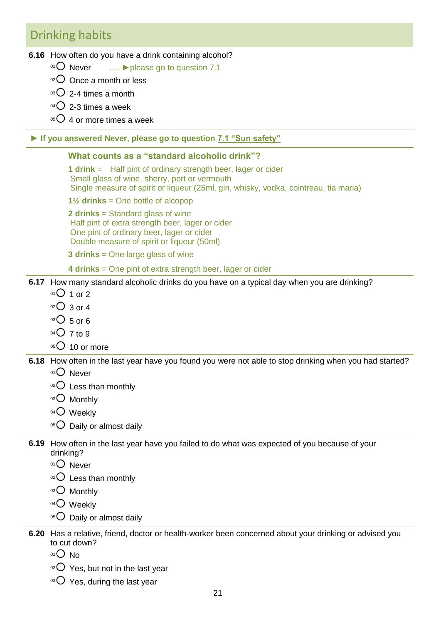### Drinking habits

**6.16** How often do you have a drink containing alcohol?

- <sup>01</sup> Never …. **►**please go to question 7.1
- $02$  Once a month or less
- $03$  2-4 times a month
- $04$  2-3 times a week
- $05$  4 or more times a week

#### **► If you answered Never, please go to question 7.1 "Sun safety"**

#### **What counts as a "standard alcoholic drink"?**

**1 drink** = Half pint of ordinary strength beer, lager or cider Small glass of wine, sherry, port or vermouth Single measure of spirit or liqueur (25ml, gin, whisky, vodka, cointreau, tia maria)

**1½ drinks** = One bottle of alcopop

**2 drinks** = Standard glass of wine Half pint of extra strength beer, lager or cider One pint of ordinary beer, lager or cider Double measure of spirit or liqueur (50ml)

**3 drinks** = One large glass of wine

#### **4 drinks** = One pint of extra strength beer, lager or cider

#### **6.17** How many standard alcoholic drinks do you have on a typical day when you are drinking?

- $^{01}$  01 or 2
- $02$  3 or 4
- $03$  5 or 6
- $04$  7 to 9
- $05$  10 or more

**6.18** How often in the last year have you found you were not able to stop drinking when you had started?

- 01<sup>O</sup> Never
- $02$  Less than monthly
- 03 Monthly
- 04<sup>O</sup> Weekly
- $05$  Daily or almost daily
- **6.19** How often in the last year have you failed to do what was expected of you because of your drinking?
	- 01<sup>O</sup> Never
	- $02$  Less than monthly
	- 03 Monthly
	- 04<sup>O</sup> Weekly
	- $05$  Daily or almost daily
- **6.20** Has a relative, friend, doctor or health-worker been concerned about your drinking or advised you to cut down?
	- <sup>01</sup> No
	- $02$  Yes, but not in the last year
	- $03$  Yes, during the last year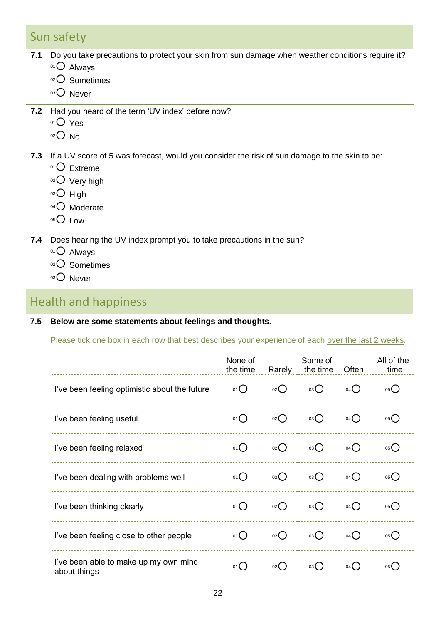# Sun safety

- **7.1** Do you take precautions to protect your skin from sun damage when weather conditions require it?
	- 01 Always
	- 02<sup>O</sup> Sometimes
	- 03 Never
- **7.2** Had you heard of the term "UV index" before now?
	- $01$  Yes
	- $02$  No
- **7.3** If a UV score of 5 was forecast, would you consider the risk of sun damage to the skin to be:
	- $01$  Extreme
	- 02 Very high
	- $03$  High
	- $04$  Moderate
	- 05<sup>O</sup> Low

**7.4** Does hearing the UV index prompt you to take precautions in the sun?

01 Always

- 02 C Sometimes
- 03 Never

### Health and happiness

### **7.5 Below are some statements about feelings and thoughts.**

Please tick one box in each row that best describes your experience of each over the last 2 weeks.

| ---------------------------------                     | None of<br>the time | Rarely             | Some of<br>the time | Often               | All of the<br>time |
|-------------------------------------------------------|---------------------|--------------------|---------------------|---------------------|--------------------|
| I've been feeling optimistic about the future         | $01$ $\bigcirc$     | $02$ $\bigcirc$    | 03()                | $04$ $\bigcirc$     | $05$ <sup>O</sup>  |
| I've been feeling useful                              | 01()                | $_{02}( )$         | 03()                | 04()                | 05()               |
| I've been feeling relaxed                             | 01()                | $_{02}( )$         | 03()                | $04$ $\bigcirc$     | 05()               |
| I've been dealing with problems well                  | 01()                | $_{02}$ $\bigcirc$ | 03()                | 04()                | 05()               |
| I've been thinking clearly                            | 01()                | $_{02}$ $\bigcirc$ | 03()                | 04()                | 05()               |
| I've been feeling close to other people               | 01()                | $_{02}( )$         | 03()                | 04()                | 05()               |
| I've been able to make up my own mind<br>about things | 01()                | $02$ (             | 03(                 | $04$ $\binom{1}{2}$ | 05(                |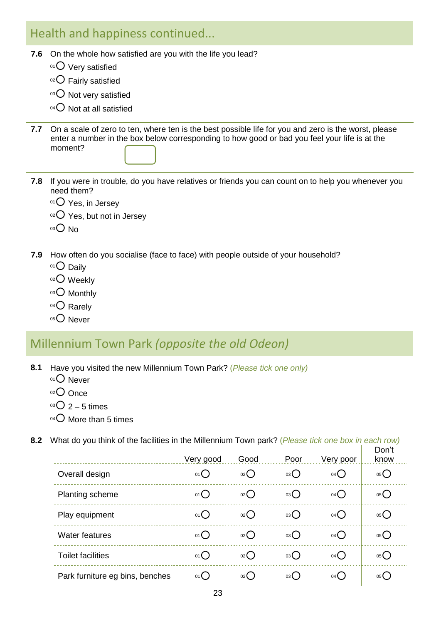# Health and happiness continued...

- **7.6** On the whole how satisfied are you with the life you lead?
	- $01$  Very satisfied
	- 02 Fairly satisfied
	- 03 O Not very satisfied
	- $04$  Not at all satisfied
- **7.7** On a scale of zero to ten, where ten is the best possible life for you and zero is the worst, please enter a number in the box below corresponding to how good or bad you feel your life is at the moment?
- **7.8** If you were in trouble, do you have relatives or friends you can count on to help you whenever you need them?
	- $01$  Yes, in Jersey
	- $02$  Yes, but not in Jersey
	- $03$  No
- **7.9** How often do you socialise (face to face) with people outside of your household?
	- 01 Daily
	- 02 Weekly
	- 03 Monthly
	- 04 Q Rarely
	- 05<sup>O</sup> Never

# Millennium Town Park *(opposite the old Odeon)*

- **8.1** Have you visited the new Millennium Town Park? (*Please tick one only)*
	- 01<sup>O</sup> Never
	- 02 Once
	- $03$  2 5 times
	- $04$  More than 5 times

**8.2** What do you think of the facilities in the Millennium Town park? (*Please tick one box in each row)*

|                                 | Very good       | Good                | Poor   | Very poor       | Don't<br>know |
|---------------------------------|-----------------|---------------------|--------|-----------------|---------------|
| Overall design                  | $01$ $\bigcirc$ | $_{02}$ ()          | 03()   | $04$ $\bigcirc$ | 05()          |
| <b>Planting scheme</b>          | 01()            | 02(                 | 03()   | $04$ $\bigcirc$ | 05(           |
| Play equipment                  | $01$ $\bigcirc$ | $02$ (              | 03     | $04$ $\bigcirc$ | 05()          |
| <b>Water features</b>           | 01()            | 02(                 | $03$ ( | $04$ $\bigcirc$ | 05(           |
| <b>Toilet facilities</b>        | 01              | $02$ $\binom{1}{2}$ | 03     | $04$ $\bigcirc$ | 05()          |
| Park furniture eg bins, benches | 01()            | $02$ (              | 03()   | 04()            | 05 (          |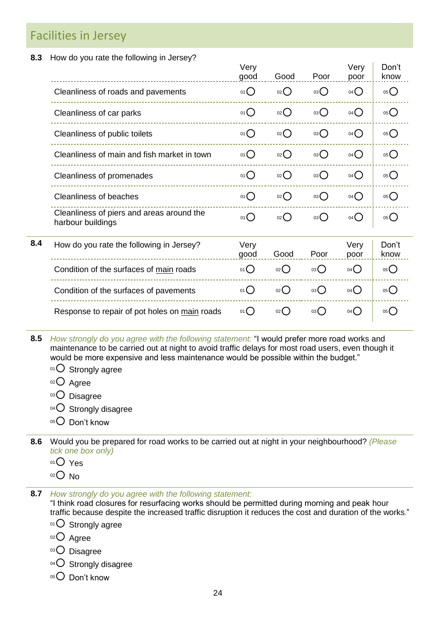### Facilities in Jersey

**8.3** How do you rate the following in Jersey?

|     |                                                                | Very<br>good | Good              | Poor            | Very<br>poor      | Don't<br>know     |  |
|-----|----------------------------------------------------------------|--------------|-------------------|-----------------|-------------------|-------------------|--|
|     | Cleanliness of roads and pavements                             | 01()         | $02$ $\bigcirc$   | 03()            | $04$ $\bigcirc$   | 05                |  |
|     | Cleanliness of car parks                                       | 01()         | $_{02}()$         | 03()            | $04$ $\bigcirc$   | $05$ <sup>O</sup> |  |
|     | Cleanliness of public toilets                                  | 01()         | $_{02}()$         | 03()            | $04$ $\bigcirc$   | 05                |  |
|     | Cleanliness of main and fish market in town                    | 01()         | $_{02}()$         | 03()            | $04$ $\bigcirc$   | 05                |  |
|     | Cleanliness of promenades                                      | 01()         | $_{02}$ $\bigcap$ | 03()            | $04$ $\bigcirc$   | $05$ <sup>O</sup> |  |
|     | <b>Cleanliness of beaches</b>                                  | 01()         | $_{02}$ $\bigcap$ | 03()            | $04$ $\bigcirc$   | $05$ <sup>O</sup> |  |
|     | Cleanliness of piers and areas around the<br>harbour buildings | 01()         | 02                | $03$ $\bigcirc$ | $04$ <sup>O</sup> | 05()              |  |
| 8.4 | How do you rate the following in Jersey?                       | Very<br>good | Good              | Poor            | Very<br>poor      | Don't<br>know     |  |
|     | Condition of the surfaces of main roads                        | 01()         | $_{02}$ $\bigcap$ | 03()            | 04()              | 05                |  |
|     | Condition of the surfaces of pavements                         | 01()         | $_{02}()$         | 03              | 04()              | 05()              |  |
|     | Response to repair of pot holes on main roads                  | 01()         | $_{02}$ ()        | 03()            | 04()              | 05()              |  |
|     |                                                                |              |                   |                 |                   |                   |  |

- **8.5** *How strongly do you agree with the following statement:* "I would prefer more road works and maintenance to be carried out at night to avoid traffic delays for most road users, even though it would be more expensive and less maintenance would be possible within the budget."
	- $01$  Strongly agree
	- $02$  Agree
	- 03<sup>O</sup> Disagree
	- $04$  Strongly disagree
	- 05<sup>O</sup> Don't know
- **8.6** Would you be prepared for road works to be carried out at night in your neighbourhood? *(Please tick one box only)*
	- $01$  Yes
	- $02$  No
- **8.7** *How strongly do you agree with the following statement:*

"I think road closures for resurfacing works should be permitted during morning and peak hour traffic because despite the increased traffic disruption it reduces the cost and duration of the works."

- 01 O Strongly agree
- 02<sup>O</sup> Agree
- 03 Disagree
- $04$  Strongly disagree
- 05 Don't know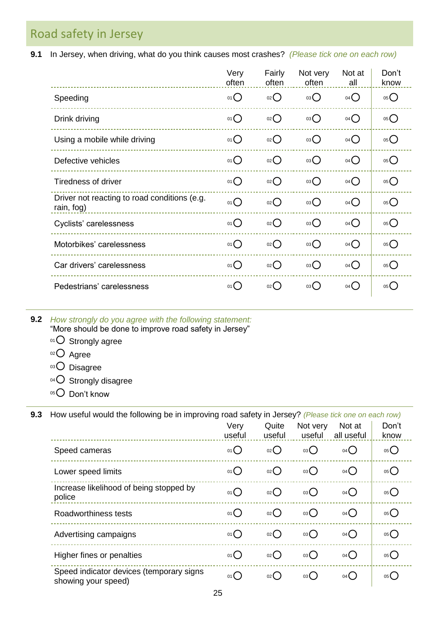Road safety in Jersey

**9.1** In Jersey, when driving, what do you think causes most crashes? *(Please tick one on each row)*

|                                                            | Very<br>often   | Fairly<br>often | Not very<br>often | Not at<br>all     | Don't<br>know     |
|------------------------------------------------------------|-----------------|-----------------|-------------------|-------------------|-------------------|
| Speeding                                                   | 01              | 02O             | 03O               | $04$ <sup>O</sup> | 05                |
| Drink driving                                              | 01()            | O(2C)           | 03O               | $04$ <sup>O</sup> | 05                |
| Using a mobile while driving                               | $01$ $\bigcirc$ | O(2C)           | 03                | $04$ <sup>O</sup> | $05$ <sup>O</sup> |
| Defective vehicles                                         | $01$ $\bigcirc$ | O(2C)           | 03                | $04$ <sup>O</sup> | $05$ <sup>O</sup> |
| <b>Tiredness of driver</b>                                 | 01()            | 02              | 03                | $04$ <sup>O</sup> | $05$ <sup>O</sup> |
| Driver not reacting to road conditions (e.g.<br>rain, fog) | 01()            | 02              | 03                | $04$ $\bigcirc$   | $05$ <sup>O</sup> |
| Cyclists' carelessness                                     | 01              | O(2C)           | 03O               | 04                | 05                |
| Motorbikes' carelessness                                   | $01$ $\bigcirc$ | 02O             | 03                | $04$ $\bigcirc$   | $05$ <sup>O</sup> |
| Car drivers' carelessness                                  | 01()            | 02              | 03                | 04()              | $05$ <sup>O</sup> |
| Pedestrians' carelessness                                  | 01()            | $02$ $\bigcirc$ | 03                | 04()              | $05$ <sup>O</sup> |

**9.2** *How strongly do you agree with the following statement:*

"More should be done to improve road safety in Jersey"

- 01 O Strongly agree
- 02 Agree
- 03 Disagree
- 04 O Strongly disagree
- $05$  Don't know

**9.3** How useful would the following be in improving road safety in Jersey? *(Please tick one on each row)*

|                                                                 | Very<br>useful  | Quite<br>useful | Not very<br>useful | Not at<br>all useful | Don't<br>know     |
|-----------------------------------------------------------------|-----------------|-----------------|--------------------|----------------------|-------------------|
| Speed cameras                                                   | $01$ $\bigcirc$ | 02              | 03                 | $04$ <sup>O</sup>    | $05$ <sup>O</sup> |
| Lower speed limits                                              | $01$ $\bigcirc$ | $_{02}()$       | 03()               | $04$ <sup>O</sup>    | 05                |
| Increase likelihood of being stopped by<br>police               | $01$ $\bigcirc$ | 02()            | $03$ $\bigcirc$    | $04$ <sup>O</sup>    | $05$ <sup>O</sup> |
| Roadworthiness tests                                            | 01()            | $_{02}()$       | 03()               | $04$ $\bigcirc$      | 05()              |
| Advertising campaigns                                           | 01()            | 02()            | 03()               | $04$ <sup>O</sup>    | $05$ <sup>O</sup> |
| Higher fines or penalties                                       | $01$ $\bigcirc$ | 02              | 03()               | $04$ <sup>O</sup>    | $05$ <sup>O</sup> |
| Speed indicator devices (temporary signs<br>showing your speed) | 01()            | 02()            | 03()               | 04()                 | 05()              |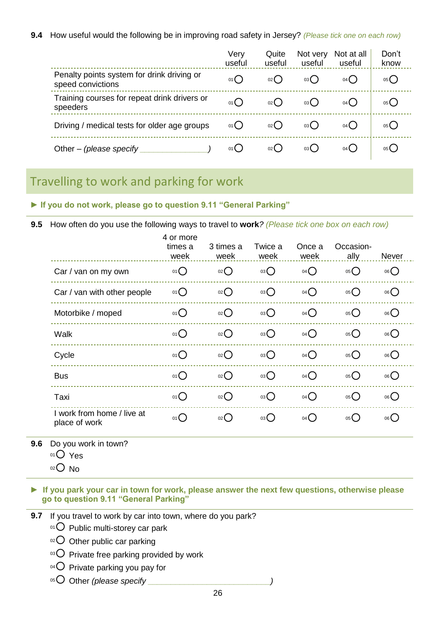**9.4** How useful would the following be in improving road safety in Jersey? *(Please tick one on each row)*

|                                                                 | Very<br>useful | Quite<br>useful | Not very<br>useful | Not at all<br>useful | Don't<br>know |
|-----------------------------------------------------------------|----------------|-----------------|--------------------|----------------------|---------------|
| Penalty points system for drink driving or<br>speed convictions | 01()           | 02()            | 03()               | 04()                 | 05()          |
| Training courses for repeat drink drivers or<br>speeders        | 01()           | 02()            | 03()               | $04$ $\left($        | 05()          |
| Driving / medical tests for older age groups                    | 01()           | 02()            | 03()               | 04()                 | 05()          |
| Other – (please specify                                         | 01()           | 02()            | 03(                | 04(                  | 05(           |

### Travelling to work and parking for work

**► If you do not work, please go to question 9.11 "General Parking"**

**9.5** How often do you use the following ways to travel to **work***? (Please tick one box on each row)* 4 or more

|                                             | times a<br>week | 3 times a<br>week | Twice a<br>week | Once a<br>week    | Occasion-<br>ally | Never           |
|---------------------------------------------|-----------------|-------------------|-----------------|-------------------|-------------------|-----------------|
| Car / van on my own                         | $01$ $\bigcirc$ | 02                | $^{03}O$        | $04$ <sup>O</sup> | 05                | $06$ $\bigcirc$ |
| Car / van with other people                 | $01$ $\bigcirc$ | 02                | 03              | $04$ <sup>O</sup> | 05                | 06()            |
| Motorbike / moped                           | 01()            | 02                | $^{03}$         | $04$ <sup>O</sup> | 05                | 06()            |
| Walk                                        | $01$ $\bigcirc$ | 02                | 03              | $04$ $\bigcirc$   | 05                | 06()            |
| Cycle                                       | $01$ $\bigcirc$ | 02                | $^{03}$         | $04$ <sup>O</sup> | 05                | 06()            |
| <b>Bus</b>                                  | $01$ $\bigcirc$ | 02                | $^{03}$         | $04$ $\bigcirc$   | 05                | 06()            |
| Taxi                                        | $01$ $\bigcirc$ | 02                | 03              | $04$ $\bigcirc$   | 05                | 06()            |
| I work from home / live at<br>place of work | 01()            | $_{02}$ $\bigcap$ | 03              | 04()              | 05()              | 06()            |

**9.6** Do you work in town?

- 01 Yes
- $02$  No

**► If you park your car in town for work, please answer the next few questions, otherwise please go to question 9.11 "General Parking"**

**9.7** If you travel to work by car into town, where do you park?

 $01$  Public multi-storey car park

02 Other public car parking

 $03$  Private free parking provided by work

 $04$  Private parking you pay for

05 Other *(please specify*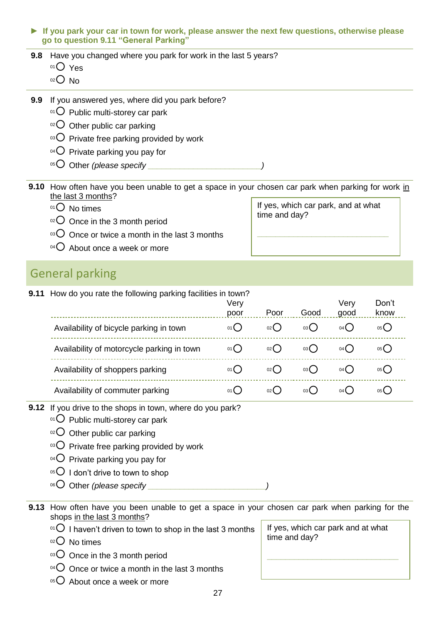#### **► If you park your car in town for work, please answer the next few questions, otherwise please go to question 9.11 "General Parking"**

- **9.8** Have you changed where you park for work in the last 5 years?
	- $01$  Yes
	- $02$  No
- **9.9** If you answered yes, where did you park before?
	- $01$  Public multi-storey car park
	- $02$  Other public car parking
	- $03$  Private free parking provided by work
	- $04$  Private parking you pay for
	- 05 Other *(please specify \_\_\_\_\_\_\_\_\_\_\_\_\_\_\_\_\_\_\_\_\_\_\_\_*

**9.10** How often have you been unable to get a space in your chosen car park when parking for work in the last 3 months?

- 01 O No times
- $02$  Once in the 3 month period
- $103$  Once or twice a month in the last 3 months
- $04$  About once a week or more

### General parking

**9.11** How do you rate the following parking facilities in town?

|                                            | Very<br>poor  | Poor | Good  | Verv<br>good | Don't<br>know |  |
|--------------------------------------------|---------------|------|-------|--------------|---------------|--|
| Availability of bicycle parking in town    | 01()          | 02() | 03()  | 04()         | 05()          |  |
| Availability of motorcycle parking in town | 01()          | 02() | 03()  | 04(          | 05()          |  |
| Availability of shoppers parking           | $01$ $\left($ | 02(  | 03()  | 04(          | 05()          |  |
| Availability of commuter parking           | $01$ (        | 02(  | 03( ) | $04$ ()      | 05(           |  |

- **9.12** If you drive to the shops in town, where do you park?
	- $01$  Public multi-storey car park
	- $02$  Other public car parking
	- $03$  Private free parking provided by work
	- $04$  Private parking you pay for
	- $05^\circ$  I don't drive to town to shop
	- 06 Other *(please specify \_\_\_\_\_\_\_\_\_\_\_\_\_\_\_\_\_\_\_\_*

**9.13** How often have you been unable to get a space in your chosen car park when parking for the shops in the last 3 months?

- $01$  I haven't driven to town to shop in the last 3 months
- $02$  No times
- $03$  Once in the 3 month period
- $04$  Once or twice a month in the last 3 months
- $05$  About once a week or more

| If yes, which car park and at what<br>time and day? |
|-----------------------------------------------------|
|                                                     |

If yes, which car park, and at what

**\_\_\_\_\_\_\_\_\_\_\_\_\_\_\_\_\_\_\_\_\_\_\_\_\_\_\_\_\_**

time and day?